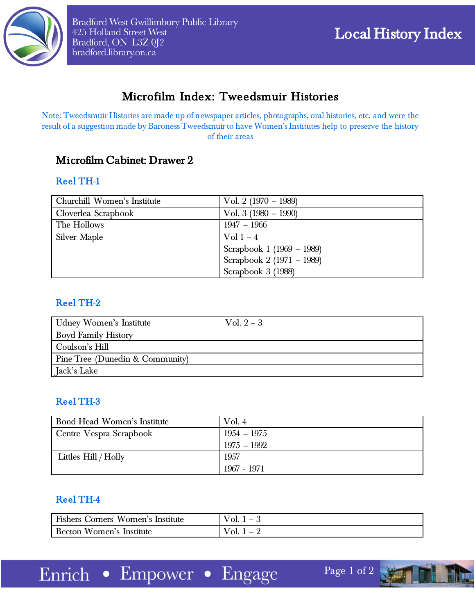

# Microfilm Index: Tweedsmuir Histories

Note: Tweedsmuir Histories are made up of newspaper articles, photographs, oral histories, etc. and were the result of a suggestion made by Baroness Tweedsmuir to have Women's Institutes help to preserve the history of their areas

## Microfilm Cabinet: Drawer 2

#### Reel TH-1

| Churchill Women's Institute | Vol. 2 $(1970 - 1989)$    |
|-----------------------------|---------------------------|
| Cloverlea Scrapbook         | Vol. 3 $(1980 - 1990)$    |
| The Hollows                 | $1947 - 1966$             |
| Silver Maple                | Vol $1-4$                 |
|                             | Scrapbook 1 (1969 – 1989) |
|                             | Scrapbook 2 (1971 - 1989) |
|                             | Scrapbook 3 (1988)        |

#### Reel TH-2

| Udney Women's Institute         | Vol. $2-3$ |
|---------------------------------|------------|
| <b>Boyd Family History</b>      |            |
| Coulson's Hill                  |            |
| Pine Tree (Dunedin & Community) |            |
| Jack's Lake                     |            |

#### Reel TH-3

| Bond Head Women's Institute | Vol. $4$      |
|-----------------------------|---------------|
| Centre Vespra Scrapbook     | $1954 - 1975$ |
|                             | $1975 - 1992$ |
| Littles Hill / Holly        | 1957          |
|                             | 1967 - 1971   |

## Reel TH-4

| Fishers Corners Women's Institute | $Vol. 1 - \delta$ |
|-----------------------------------|-------------------|
| Beeton Women's Institute          | V ol.             |